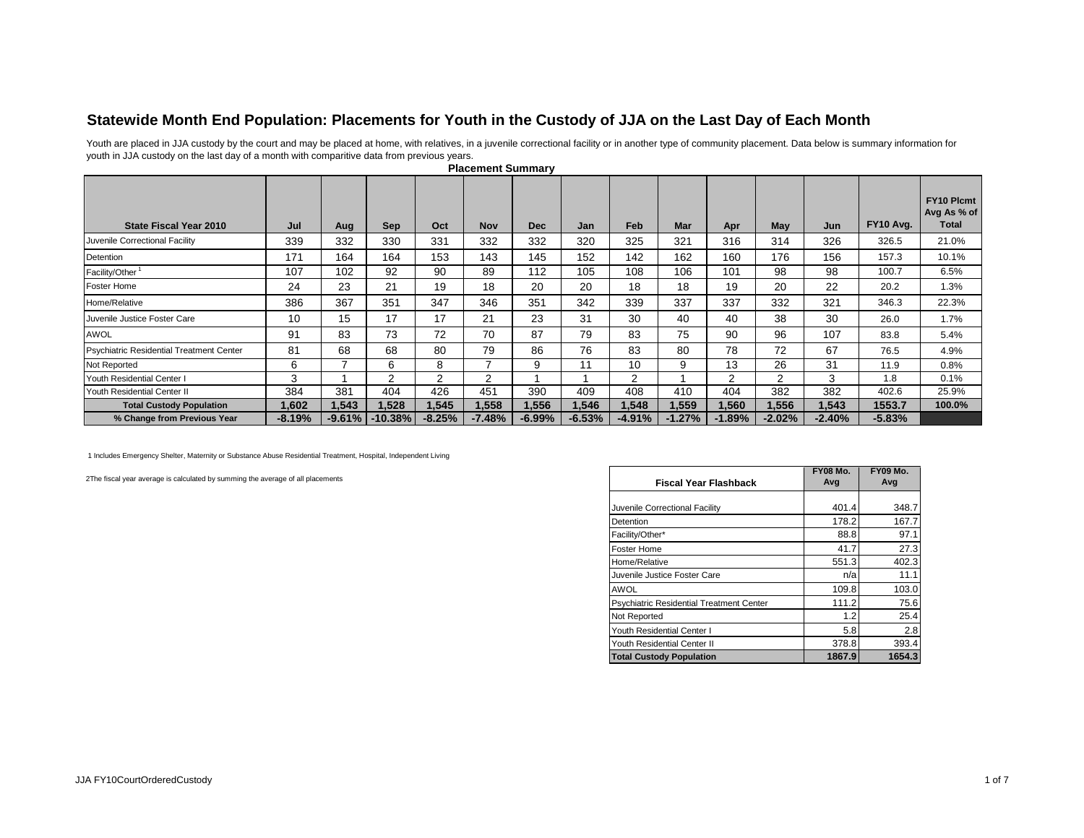## **Statewide Month End Population: Placements for Youth in the Custody of JJA on the Last Day of Each Month**

Youth are placed in JJA custody by the court and may be placed at home, with relatives, in a juvenile correctional facility or in another type of community placement. Data below is summary information for youth in JJA custody on the last day of a month with comparitive data from previous years.

| <b>State Fiscal Year 2010</b>            | Jul      | Aug      | <b>Sep</b> | Oct           | <b>Nov</b> | <b>Dec</b> | Jan      | Feb      | <b>Mar</b> | Apr            | May            | Jun      | FY10 Avg. | <b>FY10 Plcmt</b><br>Avg As % of<br>Total |
|------------------------------------------|----------|----------|------------|---------------|------------|------------|----------|----------|------------|----------------|----------------|----------|-----------|-------------------------------------------|
| Juvenile Correctional Facility           | 339      | 332      | 330        | 331           | 332        | 332        | 320      | 325      | 321        | 316            | 314            | 326      | 326.5     | 21.0%                                     |
| Detention                                | 171      | 164      | 164        | 153           | 143        | 145        | 152      | 142      | 162        | 160            | 176            | 156      | 157.3     | 10.1%                                     |
| Facility/Other <sup>1</sup>              | 107      | 102      | 92         | 90            | 89         | 112        | 105      | 108      | 106        | 101            | 98             | 98       | 100.7     | 6.5%                                      |
| Foster Home                              | 24       | 23       | 21         | 19            | 18         | 20         | 20       | 18       | 18         | 19             | 20             | 22       | 20.2      | 1.3%                                      |
| Home/Relative                            | 386      | 367      | 351        | 347           | 346        | 351        | 342      | 339      | 337        | 337            | 332            | 321      | 346.3     | 22.3%                                     |
| Juvenile Justice Foster Care             | 10       | 15       | 17         | 17            | 21         | 23         | 31       | 30       | 40         | 40             | 38             | 30       | 26.0      | 1.7%                                      |
| <b>AWOL</b>                              | 91       | 83       | 73         | 72            | 70         | 87         | 79       | 83       | 75         | 90             | 96             | 107      | 83.8      | 5.4%                                      |
| Psychiatric Residential Treatment Center | 81       | 68       | 68         | 80            | 79         | 86         | 76       | 83       | 80         | 78             | 72             | 67       | 76.5      | 4.9%                                      |
| Not Reported                             | 6        |          | 6          | 8             |            | 9          | 11       | 10       | 9          | 13             | 26             | 31       | 11.9      | 0.8%                                      |
| Youth Residential Center I               | 3        |          | 2          | $\mathcal{P}$ | 2          |            |          | 2        |            | $\overline{2}$ | $\overline{2}$ | 3        | 1.8       | 0.1%                                      |
| Youth Residential Center II              | 384      | 381      | 404        | 426           | 451        | 390        | 409      | 408      | 410        | 404            | 382            | 382      | 402.6     | 25.9%                                     |
| <b>Total Custody Population</b>          | 1,602    | 1,543    | 1.528      | 1.545         | 1,558      | 1,556      | 1,546    | 1,548    | 1,559      | 1,560          | 1,556          | 1,543    | 1553.7    | 100.0%                                    |
| % Change from Previous Year              | $-8.19%$ | $-9.61%$ | $-10.38%$  | $-8.25%$      | $-7.48%$   | $-6.99%$   | $-6.53%$ | $-4.91%$ | $-1.27%$   | $-1.89%$       | $-2.02%$       | $-2.40%$ | $-5.83%$  |                                           |

**Placement Summary** 

1 Includes Emergency Shelter, Maternity or Substance Abuse Residential Treatment, Hospital, Independent Living

2The fiscal year average is calculated by summing the average of all placements

|                                                 | <b>FY08 Mo.</b><br>Avg | <b>FY09 Mo.</b><br>Avg |
|-------------------------------------------------|------------------------|------------------------|
| <b>Fiscal Year Flashback</b>                    |                        |                        |
| Juvenile Correctional Facility                  | 401.4                  | 348.7                  |
| Detention                                       | 178.2                  | 167.7                  |
| Facility/Other*                                 | 88.8                   | 97.1                   |
| Foster Home                                     | 41.7                   | 27.3                   |
| Home/Relative                                   | 551.3                  | 402.3                  |
| Juvenile Justice Foster Care                    | n/a                    | 11.1                   |
| AWOL                                            | 109.8                  | 103.0                  |
| <b>Psychiatric Residential Treatment Center</b> | 111.2                  | 75.6                   |
| Not Reported                                    | 1.2                    | 25.4                   |
| Youth Residential Center I                      | 5.8                    | 2.8                    |
| Youth Residential Center II                     | 378.8                  | 393.4                  |
| <b>Total Custody Population</b>                 | 1867.9                 | 1654.3                 |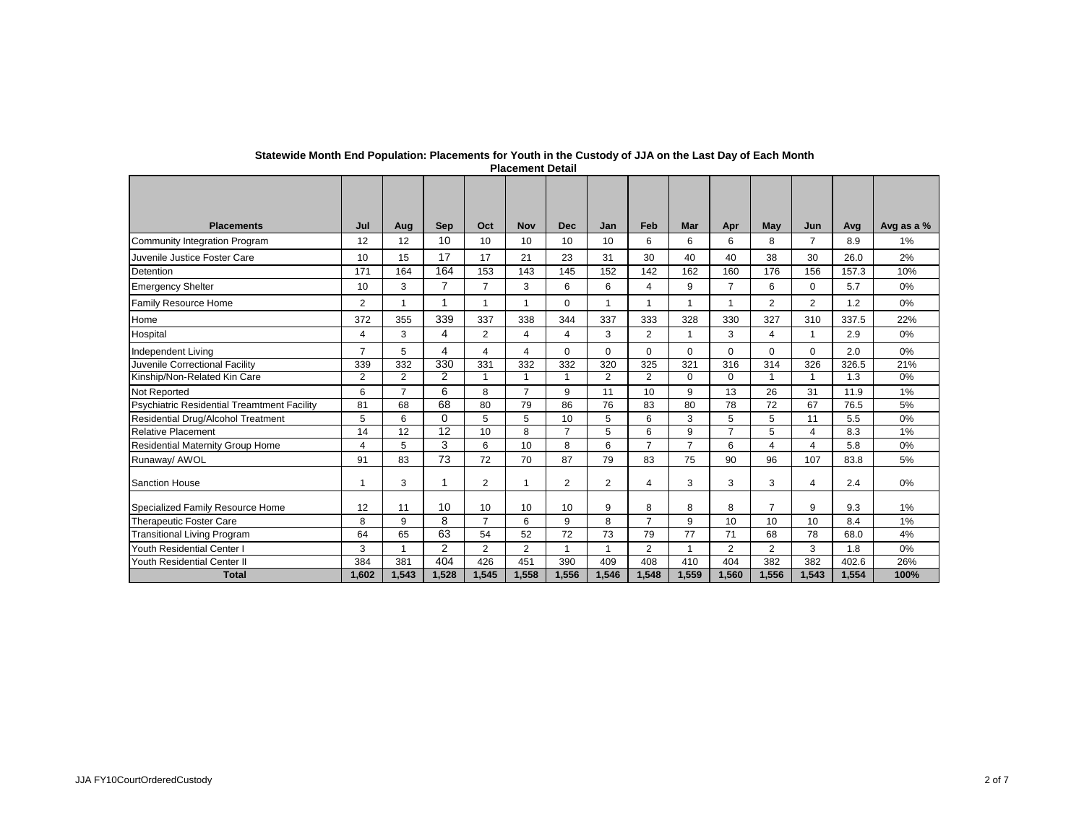| <b>Placements</b>                                  | Jul            | Aug            | <b>Sep</b>     | Oct             | <b>Nov</b>              | <b>Dec</b>     | Jan            | Feb            | <b>Mar</b>     | Apr            | May            | Jun            | Avg   | Avg as a % |
|----------------------------------------------------|----------------|----------------|----------------|-----------------|-------------------------|----------------|----------------|----------------|----------------|----------------|----------------|----------------|-------|------------|
| Community Integration Program                      | 12             | 12             | 10             | 10 <sup>1</sup> | 10                      | 10             | 10             | 6              | 6              | 6              | 8              | 7              | 8.9   | 1%         |
| Juvenile Justice Foster Care                       | 10             | 15             | 17             | 17              | 21                      | 23             | 31             | 30             | 40             | 40             | 38             | 30             | 26.0  | 2%         |
| Detention                                          | 171            | 164            | 164            | 153             | 143                     | 145            | 152            | 142            | 162            | 160            | 176            | 156            | 157.3 | 10%        |
| <b>Emergency Shelter</b>                           | 10             | 3              | $\overline{7}$ | $\overline{7}$  | 3                       | 6              | 6              | 4              | 9              | $\overline{7}$ | 6              | $\Omega$       | 5.7   | 0%         |
| Family Resource Home                               | $\overline{2}$ | $\overline{ }$ | $\overline{ }$ |                 | $\overline{\mathbf{1}}$ | $\mathbf 0$    | $\overline{1}$ |                | $\overline{1}$ | $\overline{1}$ | $\overline{2}$ | $\overline{2}$ | 1.2   | 0%         |
| Home                                               | 372            | 355            | 339            | 337             | 338                     | 344            | 337            | 333            | 328            | 330            | 327            | 310            | 337.5 | 22%        |
| Hospital                                           | 4              | 3              | 4              | 2               | $\overline{4}$          | $\overline{4}$ | 3              | $\overline{2}$ | 1              | 3              | 4              | $\mathbf{1}$   | 2.9   | 0%         |
| <b>Independent Living</b>                          | $\overline{7}$ | 5              | 4              | 4               | $\overline{4}$          | $\Omega$       | $\Omega$       | $\Omega$       | $\Omega$       | $\Omega$       | $\Omega$       | $\Omega$       | 2.0   | 0%         |
| Juvenile Correctional Facility                     | 339            | 332            | 330            | 331             | 332                     | 332            | 320            | 325            | 321            | 316            | 314            | 326            | 326.5 | 21%        |
| Kinship/Non-Related Kin Care                       | $\overline{2}$ | $\overline{2}$ | 2              | $\mathbf 1$     | $\overline{1}$          | $\mathbf{1}$   | $\overline{2}$ | $\overline{2}$ | $\Omega$       | $\Omega$       | $\mathbf{1}$   | $\mathbf{1}$   | 1.3   | 0%         |
| Not Reported                                       | 6              | $\overline{7}$ | 6              | 8               | $\overline{7}$          | 9              | 11             | 10             | 9              | 13             | 26             | 31             | 11.9  | 1%         |
| <b>Psychiatric Residential Treamtment Facility</b> | 81             | 68             | 68             | 80              | 79                      | 86             | 76             | 83             | 80             | 78             | 72             | 67             | 76.5  | 5%         |
| Residential Drug/Alcohol Treatment                 | 5              | 6              | $\Omega$       | 5               | 5                       | 10             | 5              | 6              | 3              | 5              | 5              | 11             | 5.5   | 0%         |
| <b>Relative Placement</b>                          | 14             | 12             | 12             | 10              | 8                       | $\overline{7}$ | 5              | 6              | 9              | $\overline{7}$ | 5              | 4              | 8.3   | 1%         |
| <b>Residential Maternity Group Home</b>            | $\overline{4}$ | 5              | 3              | 6               | 10                      | 8              | 6              | $\overline{7}$ | $\overline{7}$ | 6              | 4              | 4              | 5.8   | 0%         |
| Runaway/ AWOL                                      | 91             | 83             | 73             | 72              | 70                      | 87             | 79             | 83             | 75             | 90             | 96             | 107            | 83.8  | 5%         |
| <b>Sanction House</b>                              | $\mathbf{1}$   | 3              | 1              | 2               | $\overline{1}$          | 2              | 2              | 4              | 3              | 3              | 3              | 4              | 2.4   | 0%         |
| Specialized Family Resource Home                   | 12             | 11             | 10             | 10              | 10                      | 10             | 9              | 8              | 8              | 8              | $\overline{7}$ | 9              | 9.3   | 1%         |
| <b>Therapeutic Foster Care</b>                     | 8              | 9              | 8              | $\overline{7}$  | 6                       | 9              | 8              | 7              | 9              | 10             | 10             | 10             | 8.4   | 1%         |
| <b>Transitional Living Program</b>                 | 64             | 65             | 63             | 54              | 52                      | 72             | 73             | 79             | 77             | 71             | 68             | 78             | 68.0  | 4%         |
| Youth Residential Center I                         | 3              | 1              | 2              | 2               | $\overline{2}$          |                | 1              | $\overline{2}$ |                | $\overline{2}$ | $\overline{2}$ | 3              | 1.8   | 0%         |
| Youth Residential Center II                        | 384            | 381            | 404            | 426             | 451                     | 390            | 409            | 408            | 410            | 404            | 382            | 382            | 402.6 | 26%        |
| <b>Total</b>                                       | 1,602          | 1.543          | 1.528          | 1,545           | 1,558                   | 1,556          | 1,546          | 1,548          | 1,559          | 1,560          | 1,556          | 1.543          | 1,554 | 100%       |

## **Statewide Month End Population: Placements for Youth in the Custody of JJA on the Last Day of Each Month Placement Detail**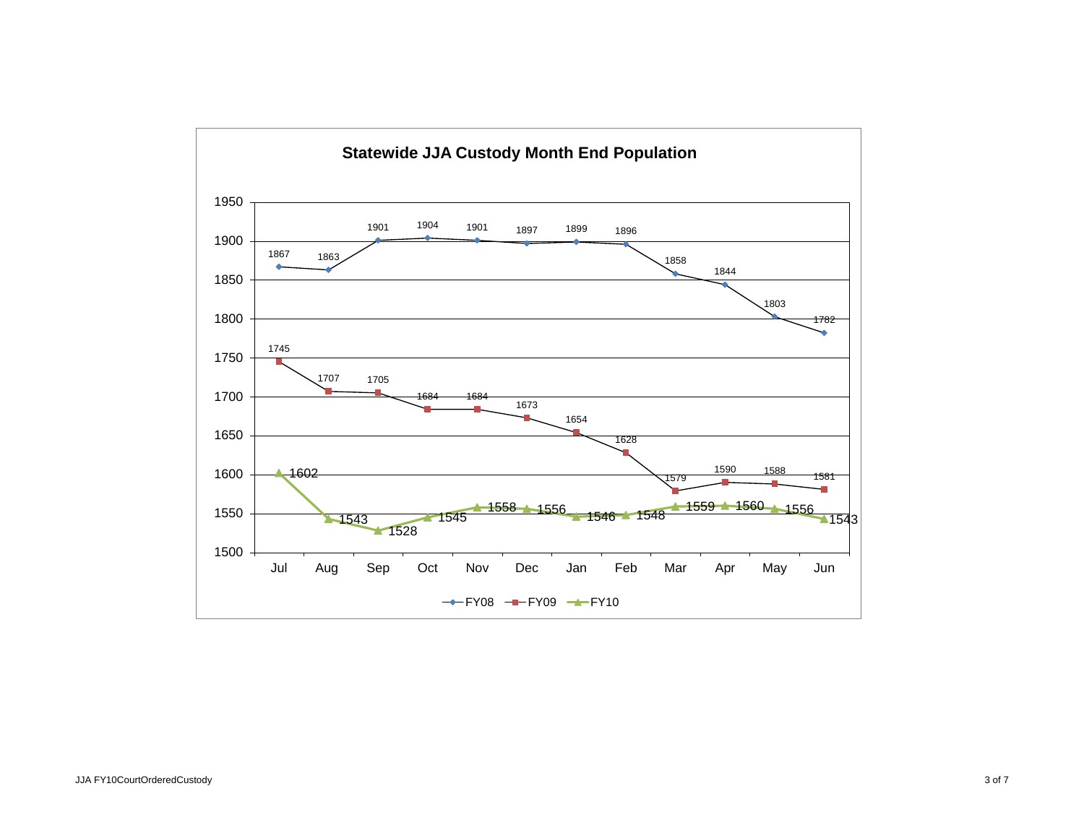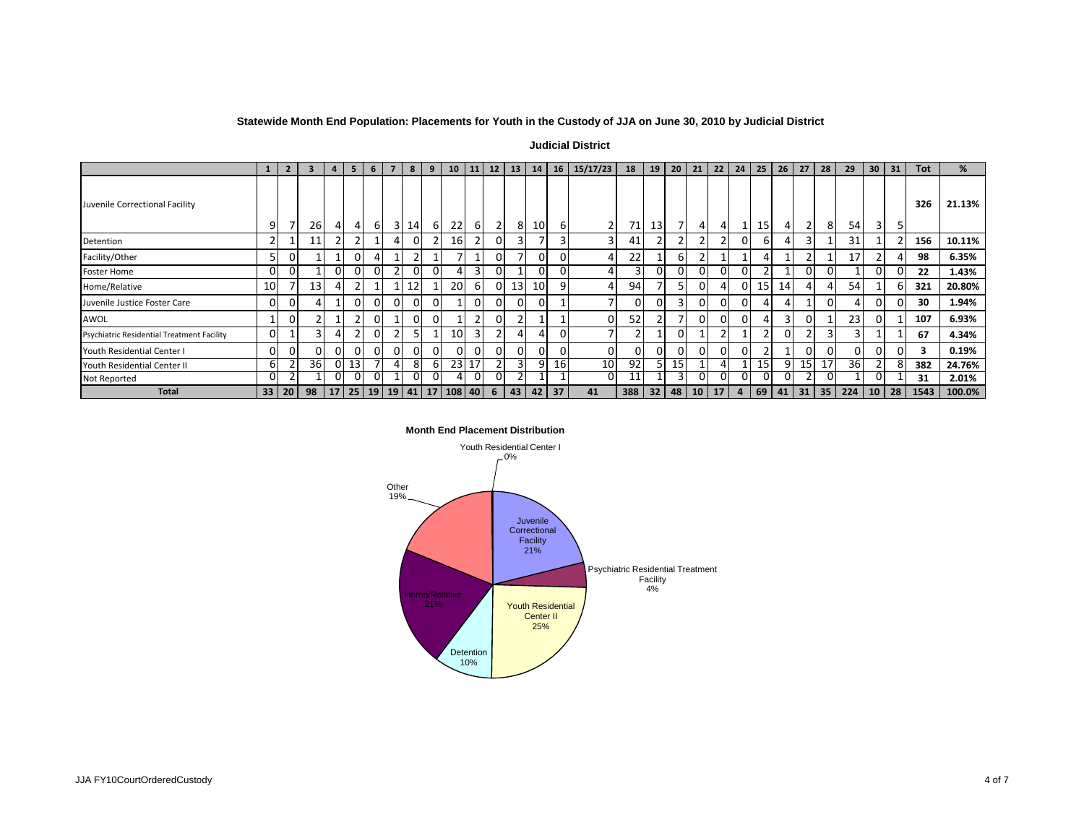## **Statewide Month End Population: Placements for Youth in the Custody of JJA on June 30, 2010 by Judicial District**

**Judicial District** 

|                                            |                | $\overline{2}$ | 3         | $\overline{a}$ | 5              | 6              |                | 8              | 9        | 10                                     | 11             | 12             | 13 <sup>1</sup> | 14              | <b>16</b> | 15/17/23        | 18             | 19 | 20       | 21              | 22       | 24 | 25 | 26 <sub>1</sub> | 27             | 28        | 29       | 30              | 31              | <b>Tot</b> | %      |
|--------------------------------------------|----------------|----------------|-----------|----------------|----------------|----------------|----------------|----------------|----------|----------------------------------------|----------------|----------------|-----------------|-----------------|-----------|-----------------|----------------|----|----------|-----------------|----------|----|----|-----------------|----------------|-----------|----------|-----------------|-----------------|------------|--------|
| Juvenile Correctional Facility             | 9              | 7              | <b>26</b> |                | 4              | 6              | 3              | 14             | 6        | 22                                     | 6              | $\overline{2}$ | 81              | 10 <sup>1</sup> | b         |                 | 71             | 13 |          |                 | 4        |    | 15 |                 | $\overline{2}$ | 8         | 54       | 3 <sup>1</sup>  |                 | 326        | 21.13% |
| Detention                                  |                |                | 11        |                |                |                |                |                | n,       | 16 <sup>1</sup>                        |                |                |                 |                 |           |                 | 41             |    |          |                 | <b>n</b> |    | h  |                 | 3              |           | 31       |                 |                 | 156        | 10.11% |
| Facility/Other                             | 5              | $\Omega$       |           |                | $\overline{0}$ | 4              |                |                |          |                                        |                |                |                 | $\Omega$        |           |                 | 22             |    | 6        |                 |          |    |    |                 | ຳ              |           | 17       |                 |                 | 98         | 6.35%  |
| <b>Foster Home</b>                         | 0              | $\Omega$       |           | $\Omega$       | $\overline{0}$ | $\Omega$       | C              | $\Omega$       | $\Omega$ |                                        | $\overline{3}$ | $\Omega$       |                 | $\Omega$        |           |                 | $\overline{3}$ |    | $\Omega$ | $\mathbf{0}$    | $\Omega$ | 0. | n, |                 | $\Omega$       | 0         |          | ΩI              |                 | 22         | 1.43%  |
| Home/Relative                              | 10             | $\overline{7}$ | 13        |                | $\overline{2}$ | $\mathbf{1}$   |                | 12             |          | <b>20</b>                              | 61             |                | 13 <sup>1</sup> | 10 <sup>1</sup> | a         |                 | 94             |    |          | 0.              | Д        |    | 15 | 14              | Δ              |           | 54       |                 |                 | 321        | 20.80% |
| Juvenile Justice Foster Care               | $\overline{0}$ | $\Omega$       |           |                | $\overline{0}$ | $\overline{0}$ | $\overline{0}$ | $\overline{0}$ | 0        |                                        | $\Omega$       | $\Omega$       | $\Omega$        | $\Omega$        |           |                 | $\Omega$       |    | 3        | $\Omega$        | 0        | 01 |    |                 |                | 0         |          | ΟI              |                 | 30         | 1.94%  |
| AWOL                                       |                | $\mathbf{0}$   |           |                | 2              | $\overline{0}$ |                | $\Omega$       |          |                                        | $\overline{2}$ |                |                 |                 |           | 01              | 52             |    |          | 0               | 0        |    |    | 3               | 0              |           | 23       | 01              |                 | 107        | 6.93%  |
| Psychiatric Residential Treatment Facility | $\Omega$       |                |           |                | 2              | $\Omega$       | $\overline{2}$ |                |          | 10 <sup>1</sup>                        | $\overline{3}$ |                |                 | 4               |           |                 |                |    | 0        |                 | ຳ        |    | p  |                 | ຳ              | 3         | 3        |                 |                 | 67         | 4.34%  |
| Youth Residential Center I                 | $\Omega$       | $\Omega$       | nι        |                | $\Omega$       | $\Omega$       | $\Omega$       |                |          | $\Omega$                               | ΩI             |                | 0               | 0               |           | ΩI              | $\Omega$       |    |          | 0               | $\Omega$ |    |    |                 | $\Omega$       | 0         | $\Omega$ | ΩI              |                 |            | 0.19%  |
| Youth Residential Center II                | 6              |                | <b>36</b> | $\Omega$       | 13             |                | 4              | 8              | 6        |                                        | 23 17          |                |                 | 9               | 16        | 10 <sup>1</sup> | 92             |    | 15       |                 | 4        |    | 15 | 9               | 15             | 17        | 36 I     |                 | ŏ               | 382        | 24.76% |
| Not Reported                               | 0              |                |           |                | 0              |                |                |                |          |                                        | OΙ             |                |                 |                 |           | ΟI              | 11             |    |          |                 | 0        |    | U  |                 |                | U         |          | 0.              |                 | 31         | 2.01%  |
| <b>Total</b>                               |                | 33 20          | 98        |                |                |                |                |                |          | 17   25   19   19   41   17   108   40 |                | 6              | 43 <sup>1</sup> | 42              | 37        | 41              | 388            | 32 | 48       | 10 <sup>1</sup> | 17       | 4  | 69 | 41              |                | $31$   35 | 224      | 10 <sup>1</sup> | 28 <sup>1</sup> | 1543       | 100.0% |



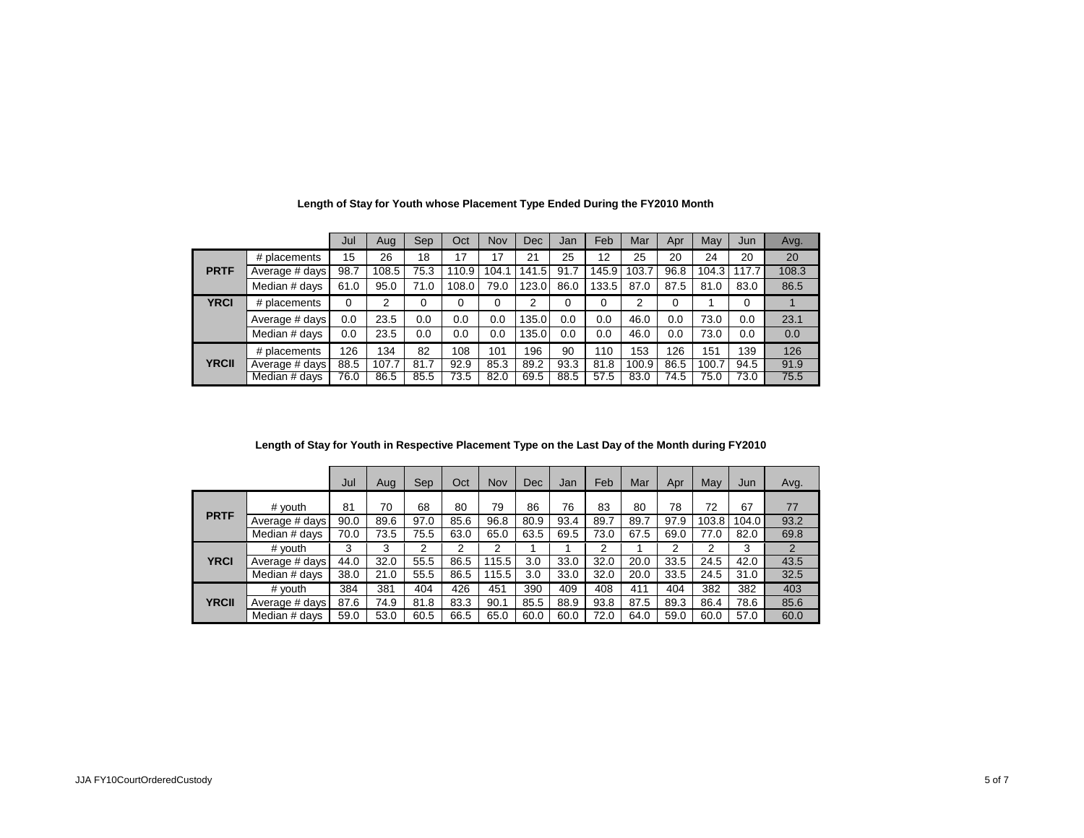|              |                | Jul      | Aug   | <b>Sep</b> | Oct      | Nov   | <b>Dec</b>         | Jan  | Feb      | Mar   | Apr      | May   | Jun   | Avg.  |
|--------------|----------------|----------|-------|------------|----------|-------|--------------------|------|----------|-------|----------|-------|-------|-------|
|              | # placements   | 15       | 26    | 18         | 17       | 17    | 21                 | 25   | 12       | 25    | 20       | 24    | 20    | 20    |
| <b>PRTF</b>  | Average # days | 98.7     | 108.5 | 75.3       | 110.9    | 104.1 | $.5\,$<br>141      | 91.7 | 145.9    | 103.7 | 96.8     | 104.3 | 117.7 | 108.3 |
|              | Median # days  | 61.0     | 95.0  | 71.0       | 108.0    | 79.0  | 123.<br>$\Omega$ . | 86.0 | 133.5    | 87.0  | 87.5     | 81.0  | 83.0  | 86.5  |
| <b>YRCI</b>  | # placements   | $\Omega$ | 2     | 0          | $\Omega$ | 0     | 2                  | 0    | $\Omega$ | 2     | $\Omega$ |       | 0     |       |
|              | Average # days | 0.0      | 23.5  | 0.0        | 0.0      | 0.0   | 135.0              | 0.0  | 0.0      | 46.0  | 0.0      | 73.0  | 0.0   | 23.1  |
|              | Median # days  | 0.0      | 23.5  | 0.0        | 0.0      | 0.0   | 135.0              | 0.0  | 0.0      | 46.0  | 0.0      | 73.0  | 0.0   | 0.0   |
|              | # placements   | 126      | 134   | 82         | 108      | 101   | 196                | 90   | 110      | 153   | 126      | 151   | 139   | 126   |
| <b>YRCII</b> | Average # days | 88.5     | 107.7 | 81.7       | 92.9     | 85.3  | 89.2               | 93.3 | 81.8     | 100.9 | 86.5     | 100.7 | 94.5  | 91.9  |
|              | Median # days  | 76.0     | 86.5  | 85.5       | 73.5     | 82.0  | 69.5               | 88.5 | 57.5     | 83.0  | 74.5     | 75.0  | 73.0  | 75.5  |

**Length of Stay for Youth whose Placement Type Ended During the FY2010 Month**

| Length of Stay for Youth in Respective Placement Type on the Last Day of the Month during FY2010 |  |  |
|--------------------------------------------------------------------------------------------------|--|--|
|                                                                                                  |  |  |

|              |                | Jul  | Aug  | Sep  | Oct  | <b>Nov</b> | <b>Dec</b> | Jan  | Feb  | Mar  | Apr  | May   | Jun   | Avg. |
|--------------|----------------|------|------|------|------|------------|------------|------|------|------|------|-------|-------|------|
|              | # youth        | 81   | 70   | 68   | 80   | 79         | 86         | 76   | 83   | 80   | 78   | 72    | 67    | 77   |
| <b>PRTF</b>  | Average # days | 90.0 | 89.6 | 97.0 | 85.6 | 96.8       | 80.9       | 93.4 | 89.7 | 89.7 | 97.9 | 103.8 | 104.0 | 93.2 |
|              | Median # days  | 70.0 | 73.5 | 75.5 | 63.0 | 65.0       | 63.5       | 69.5 | 73.0 | 67.5 | 69.0 | 77.0  | 82.0  | 69.8 |
|              | # youth        | 3    | 3    | 2    | 2    | 2          |            |      | 2    |      | 2    | 2     | 3     | 2    |
| <b>YRCI</b>  | Average # days | 44.0 | 32.0 | 55.5 | 86.5 | 115.5      | 3.0        | 33.0 | 32.0 | 20.0 | 33.5 | 24.5  | 42.0  | 43.5 |
|              | Median # days  | 38.0 | 21.0 | 55.5 | 86.5 | 115.5      | 3.0        | 33.0 | 32.0 | 20.0 | 33.5 | 24.5  | 31.0  | 32.5 |
|              | # vouth        | 384  | 381  | 404  | 426  | 451        | 390        | 409  | 408  | 411  | 404  | 382   | 382   | 403  |
| <b>YRCII</b> | Average # days | 87.6 | 74.9 | 81.8 | 83.3 | 90.1       | 85.5       | 88.9 | 93.8 | 87.5 | 89.3 | 86.4  | 78.6  | 85.6 |
|              | Median # days  | 59.0 | 53.0 | 60.5 | 66.5 | 65.0       | 60.0       | 60.0 | 72.0 | 64.0 | 59.0 | 60.0  | 57.0  | 60.0 |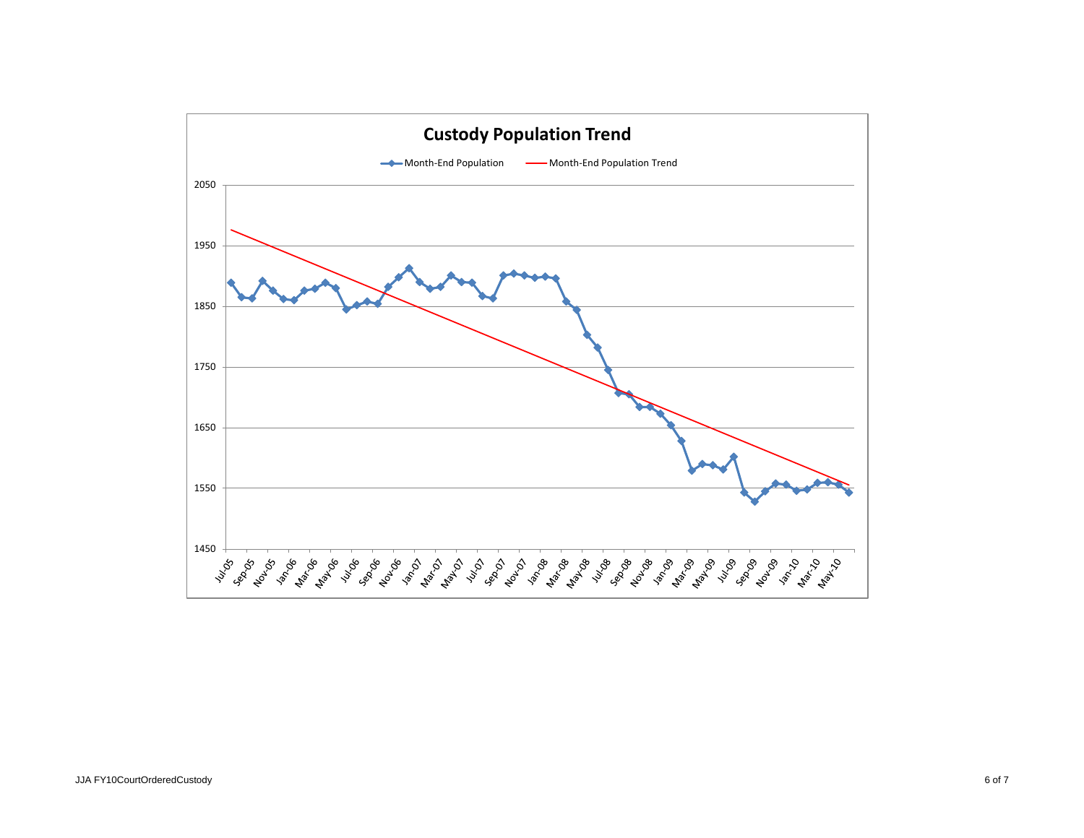